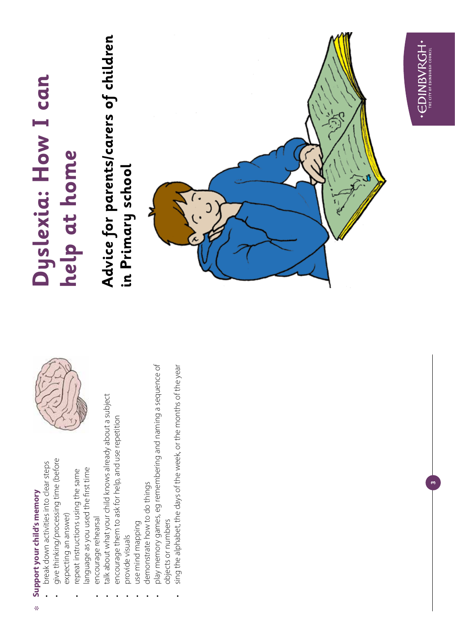